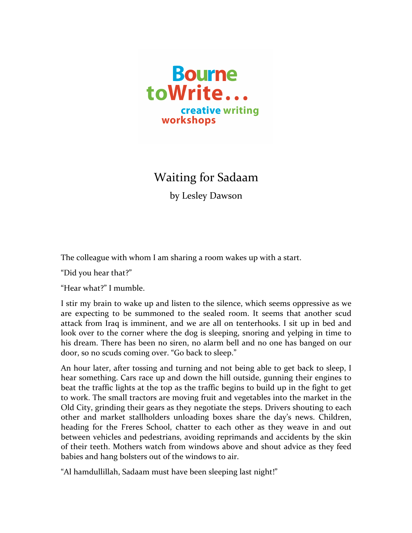

Waiting for Sadaam

by Lesley Dawson

The colleague with whom I am sharing a room wakes up with a start.

"Did you hear that?"

"Hear what?" I mumble.

I stir my brain to wake up and listen to the silence, which seems oppressive as we are expecting to be summoned to the sealed room. It seems that another scud attack from Iraq is imminent, and we are all on tenterhooks. I sit up in bed and look over to the corner where the dog is sleeping, snoring and yelping in time to his dream. There has been no siren, no alarm bell and no one has banged on our door, so no scuds coming over. "Go back to sleep."

An hour later, after tossing and turning and not being able to get back to sleep, I hear something. Cars race up and down the hill outside, gunning their engines to beat the traffic lights at the top as the traffic begins to build up in the fight to get to work. The small tractors are moving fruit and vegetables into the market in the Old City, grinding their gears as they negotiate the steps. Drivers shouting to each other and market stallholders unloading boxes share the day's news. Children, heading for the Freres School, chatter to each other as they weave in and out between vehicles and pedestrians, avoiding reprimands and accidents by the skin of their teeth. Mothers watch from windows above and shout advice as they feed babies and hang bolsters out of the windows to air.

"Al hamdullillah, Sadaam must have been sleeping last night!"